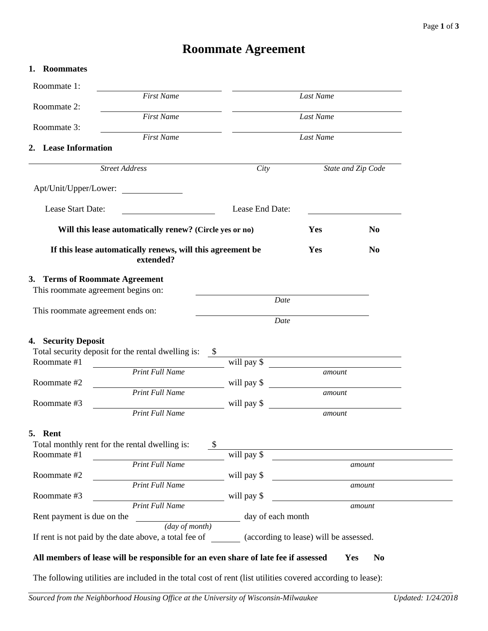# **Roommate Agreement**

| 1. Roommates                                                            |                                                                                                                               |                               |                                                         |                |  |
|-------------------------------------------------------------------------|-------------------------------------------------------------------------------------------------------------------------------|-------------------------------|---------------------------------------------------------|----------------|--|
| Roommate 1:                                                             | <b>First Name</b>                                                                                                             |                               |                                                         |                |  |
| Roommate 2:                                                             |                                                                                                                               | <b>Last Name</b><br>Last Name |                                                         |                |  |
| Roommate 3:                                                             | <b>First Name</b>                                                                                                             |                               |                                                         |                |  |
| 2. Lease Information                                                    | <b>First Name</b>                                                                                                             | Last Name                     |                                                         |                |  |
|                                                                         |                                                                                                                               |                               |                                                         |                |  |
|                                                                         | <b>Street Address</b>                                                                                                         | City<br>State and Zip Code    |                                                         |                |  |
| Apt/Unit/Upper/Lower:                                                   | <u> 1989 - Jan Stein Stein Stein Stein Stein Stein Stein Stein Stein Stein Stein Stein Stein Stein Stein Stein S</u>          |                               |                                                         |                |  |
| Lease Start Date:                                                       |                                                                                                                               |                               | Lease End Date:                                         |                |  |
|                                                                         | Will this lease automatically renew? (Circle yes or no)                                                                       |                               | Yes                                                     | <b>No</b>      |  |
| If this lease automatically renews, will this agreement be<br>extended? |                                                                                                                               |                               | Yes                                                     | N <sub>0</sub> |  |
| 3. Terms of Roommate Agreement<br>This roommate agreement begins on:    |                                                                                                                               |                               |                                                         |                |  |
| This roommate agreement ends on:                                        |                                                                                                                               | Date<br>Date                  |                                                         |                |  |
| 4. Security Deposit<br>Roommate #1                                      | Total security deposit for the rental dwelling is:                                                                            | will pay \$                   | <u> 1980 - Johann Barnett, fransk politik (f. 1980)</u> |                |  |
| Roommate #2                                                             | <b>Print Full Name</b>                                                                                                        | will pay \$                   | amount                                                  |                |  |
|                                                                         | <b>Print Full Name</b>                                                                                                        |                               | amount                                                  |                |  |
| Roommate #3                                                             | <b>Print Full Name</b>                                                                                                        | will pay \$                   |                                                         | amount         |  |
| 5. Rent<br>Roommate #1                                                  | Total monthly rent for the rental dwelling is:                                                                                | -\$<br>will pay \$            |                                                         |                |  |
| Roommate #2                                                             | <b>Print Full Name</b>                                                                                                        | will pay \$                   |                                                         | amount         |  |
| Roommate #3                                                             | <b>Print Full Name</b>                                                                                                        | will pay \$                   |                                                         | amount         |  |
| <b>Print Full Name</b><br>Rent payment is due on the                    |                                                                                                                               | day of each month             |                                                         | amount         |  |
|                                                                         | $\overline{(day\ of\ month)}$<br>If rent is not paid by the date above, a total fee of (according to lease) will be assessed. |                               |                                                         |                |  |
|                                                                         |                                                                                                                               |                               |                                                         |                |  |

The following utilities are included in the total cost of rent (list utilities covered according to lease):

 $\mathbb{R}$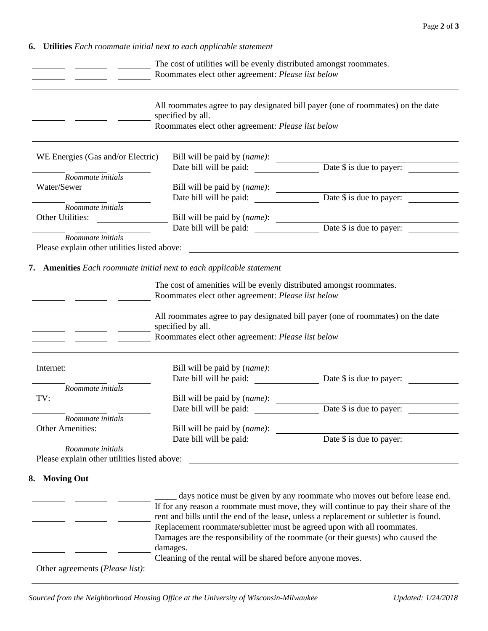**6. Utilities** *Each roommate initial next to each applicable statement*

|                                                                                                       | The cost of utilities will be evenly distributed amongst roommates.<br>Roommates elect other agreement: Please list below |                                                                                                                                                                                                                                                             |
|-------------------------------------------------------------------------------------------------------|---------------------------------------------------------------------------------------------------------------------------|-------------------------------------------------------------------------------------------------------------------------------------------------------------------------------------------------------------------------------------------------------------|
|                                                                                                       | specified by all.<br>Roommates elect other agreement: Please list below                                                   | All roommates agree to pay designated bill payer (one of roommates) on the date                                                                                                                                                                             |
| WE Energies (Gas and/or Electric)                                                                     |                                                                                                                           | Bill will be paid by (name):<br>Date bill will be paid: <u>Date \$ is due to payer:</u>                                                                                                                                                                     |
|                                                                                                       |                                                                                                                           |                                                                                                                                                                                                                                                             |
| Roommate initials                                                                                     |                                                                                                                           |                                                                                                                                                                                                                                                             |
| Water/Sewer                                                                                           |                                                                                                                           | Bill will be paid by (name):<br>Date \$ is due to payer:<br>Date \$ is due to payer:<br>Date \$ is due to payer:                                                                                                                                            |
| Roommate initials                                                                                     |                                                                                                                           |                                                                                                                                                                                                                                                             |
| Other Utilities:                                                                                      |                                                                                                                           |                                                                                                                                                                                                                                                             |
|                                                                                                       |                                                                                                                           | Bill will be paid by ( <i>name</i> ):<br>Date \$ is due to payer:<br>Date \$ is due to payer:<br>                                                                                                                                                           |
| $Roommate$ initials                                                                                   |                                                                                                                           |                                                                                                                                                                                                                                                             |
| Please explain other utilities listed above:                                                          |                                                                                                                           |                                                                                                                                                                                                                                                             |
|                                                                                                       |                                                                                                                           |                                                                                                                                                                                                                                                             |
|                                                                                                       | specified by all.<br>Roommates elect other agreement: Please list below                                                   | All roommates agree to pay designated bill payer (one of roommates) on the date                                                                                                                                                                             |
|                                                                                                       |                                                                                                                           |                                                                                                                                                                                                                                                             |
|                                                                                                       |                                                                                                                           |                                                                                                                                                                                                                                                             |
| Roommate initials                                                                                     |                                                                                                                           |                                                                                                                                                                                                                                                             |
|                                                                                                       | Bill will be paid by (name):                                                                                              |                                                                                                                                                                                                                                                             |
|                                                                                                       | Date bill will be paid:                                                                                                   | Date \$ is due to payer:                                                                                                                                                                                                                                    |
| Roommate initials                                                                                     |                                                                                                                           |                                                                                                                                                                                                                                                             |
|                                                                                                       | Bill will be paid by (name):                                                                                              |                                                                                                                                                                                                                                                             |
|                                                                                                       |                                                                                                                           |                                                                                                                                                                                                                                                             |
| Roommate initials                                                                                     |                                                                                                                           | Date bill will be paid: Date \$ is due to payer:                                                                                                                                                                                                            |
|                                                                                                       |                                                                                                                           | <u> 1989 - Johann Stein, syntysk politiker (* 1989)</u>                                                                                                                                                                                                     |
|                                                                                                       |                                                                                                                           |                                                                                                                                                                                                                                                             |
|                                                                                                       |                                                                                                                           |                                                                                                                                                                                                                                                             |
|                                                                                                       |                                                                                                                           |                                                                                                                                                                                                                                                             |
|                                                                                                       |                                                                                                                           |                                                                                                                                                                                                                                                             |
|                                                                                                       |                                                                                                                           | days notice must be given by any roommate who moves out before lease end.<br>If for any reason a roommate must move, they will continue to pay their share of the<br>rent and bills until the end of the lease, unless a replacement or subletter is found. |
|                                                                                                       | Replacement roommate/subletter must be agreed upon with all roommates.                                                    |                                                                                                                                                                                                                                                             |
|                                                                                                       |                                                                                                                           | Damages are the responsibility of the roommate (or their guests) who caused the                                                                                                                                                                             |
| Internet:<br>TV:<br>Other Amenities:<br>Please explain other utilities listed above:<br>8. Moving Out | damages.<br>Cleaning of the rental will be shared before anyone moves.                                                    |                                                                                                                                                                                                                                                             |